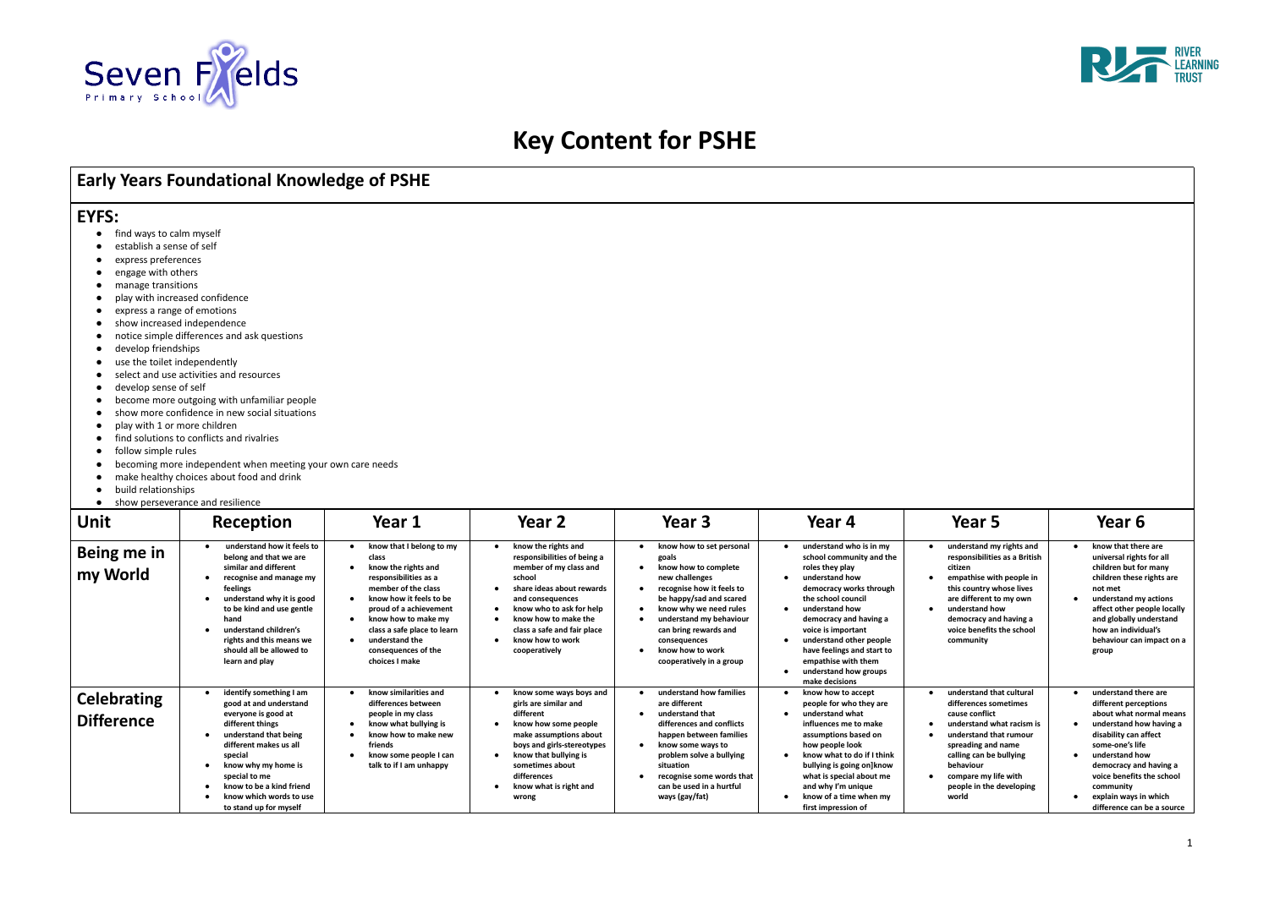

# **Key Content for PSHE**

# **Early Years Foundational Knowledge of PSHE**

## **EYFS:**

- find ways to calm myself
- establish a sense of self
- express preferences
- engage with others
- manage transitions
- play with increased confidence
- express a range of emotions
- show increased independence
- notice simple differences and ask questions
- develop friendships
- use the toilet independently
- 
- 
- 
- 
- 
- find solutions to conflicts and rivalries
- follow simple rules
- 
- 
- 
- 

| develop sense of self<br>play with 1 or more children<br>follow simple rules<br>build relationships<br>$\bullet$ | select and use activities and resources<br>become more outgoing with unfamiliar people<br>show more confidence in new social situations<br>find solutions to conflicts and rivalries<br>becoming more independent when meeting your own care needs<br>make healthy choices about food and drink<br>show perseverance and resilience |                                                                                                                                                                                                                                                                                |                                                                                                                                                                                                                                                                                           |                                                                                                                                                                                                                                                                                   |                                                                                                                                                                                                                                                                                                                                        |                                                                                                                                                                                                                                                                         |                                                                                                                                                                                                                                                                                              |
|------------------------------------------------------------------------------------------------------------------|-------------------------------------------------------------------------------------------------------------------------------------------------------------------------------------------------------------------------------------------------------------------------------------------------------------------------------------|--------------------------------------------------------------------------------------------------------------------------------------------------------------------------------------------------------------------------------------------------------------------------------|-------------------------------------------------------------------------------------------------------------------------------------------------------------------------------------------------------------------------------------------------------------------------------------------|-----------------------------------------------------------------------------------------------------------------------------------------------------------------------------------------------------------------------------------------------------------------------------------|----------------------------------------------------------------------------------------------------------------------------------------------------------------------------------------------------------------------------------------------------------------------------------------------------------------------------------------|-------------------------------------------------------------------------------------------------------------------------------------------------------------------------------------------------------------------------------------------------------------------------|----------------------------------------------------------------------------------------------------------------------------------------------------------------------------------------------------------------------------------------------------------------------------------------------|
| Unit                                                                                                             | Reception                                                                                                                                                                                                                                                                                                                           | Year 1                                                                                                                                                                                                                                                                         | Year <sub>2</sub>                                                                                                                                                                                                                                                                         | Year 3                                                                                                                                                                                                                                                                            | Year 4                                                                                                                                                                                                                                                                                                                                 | Year 5                                                                                                                                                                                                                                                                  | Year 6                                                                                                                                                                                                                                                                                       |
| Being me in<br>my World                                                                                          | understand how it feels to<br>belong and that we are<br>similar and different<br>recognise and manage my<br>feelings<br>understand why it is good<br>$\bullet$<br>to be kind and use gentle<br>hand<br>understand children's<br>$\bullet$<br>rights and this means we<br>should all be allowed to<br>learn and play                 | know that I belong to my<br>class<br>know the rights and<br>responsibilities as a<br>member of the class<br>know how it feels to be<br>proud of a achievement<br>know how to make my<br>class a safe place to learn<br>understand the<br>consequences of the<br>choices I make | know the rights and<br>responsibilities of being a<br>member of my class and<br>school<br>share ideas about rewards<br>and consequences<br>know who to ask for help<br>know how to make the<br>$\bullet$<br>class a safe and fair place<br>know how to work<br>$\bullet$<br>cooperatively | know how to set personal<br>goals<br>know how to complete<br>new challenges<br>recognise how it feels to<br>be happy/sad and scared<br>know why we need rules<br>understand my behaviour<br>can bring rewards and<br>consequences<br>know how to work<br>cooperatively in a group | understand who is in my<br>school community and the<br>roles they play<br>understand how<br>democracy works through<br>the school council<br>understand how<br>democracy and having a<br>voice is important<br>understand other people<br>have feelings and start to<br>empathise with them<br>understand how groups<br>make decisions | understand my rights and<br>responsibilities as a British<br>citizen<br>empathise with people in<br>$\bullet$<br>this country whose lives<br>are different to my own<br>understand how<br>$\bullet$<br>democracy and having a<br>voice benefits the school<br>community | know that there are<br>universal rights for all<br>children but for many<br>children these rights are<br>not met<br>understand my actions<br>affect other people locally<br>and globally understand<br>how an individual's<br>behaviour can impact on a<br>group                             |
| <b>Celebrating</b><br><b>Difference</b>                                                                          | identify something I am<br>good at and understand<br>everyone is good at<br>different things<br>understand that being<br>different makes us all<br>special<br>know why my home is<br>$\bullet$<br>special to me<br>know to be a kind friend<br>know which words to use<br>to stand up for myself                                    | know similarities and<br>differences between<br>people in my class<br>know what bullying is<br>know how to make new<br>friends<br>know some people I can<br>talk to if I am unhappy                                                                                            | know some ways boys and<br>$\bullet$<br>girls are similar and<br>different<br>know how some people<br>$\bullet$<br>make assumptions about<br>boys and girls-stereotypes<br>know that bullying is<br>sometimes about<br>differences<br>know what is right and<br>wrong                     | understand how families<br>are different<br>understand that<br>$\bullet$<br>differences and conflicts<br>happen between families<br>know some ways to<br>problem solve a bullying<br>situation<br>recognise some words that<br>can be used in a hurtful<br>ways (gay/fat)         | know how to accept<br>people for who they are<br>understand what<br>influences me to make<br>assumptions based on<br>how people look<br>know what to do if I think<br>bullying is going on]know<br>what is special about me<br>and why I'm unique<br>know of a time when my<br>first impression of                                     | understand that cultural<br>differences sometimes<br>cause conflict<br>understand what racism is<br>understand that rumour<br>spreading and name<br>calling can be bullying<br>behaviour<br>compare my life with<br>people in the developing<br>world                   | understand there are<br>different perceptions<br>about what normal means<br>understand how having a<br>disability can affect<br>some-one's life<br>understand how<br>democracy and having a<br>voice benefits the school<br>community<br>explain ways in which<br>difference can be a source |

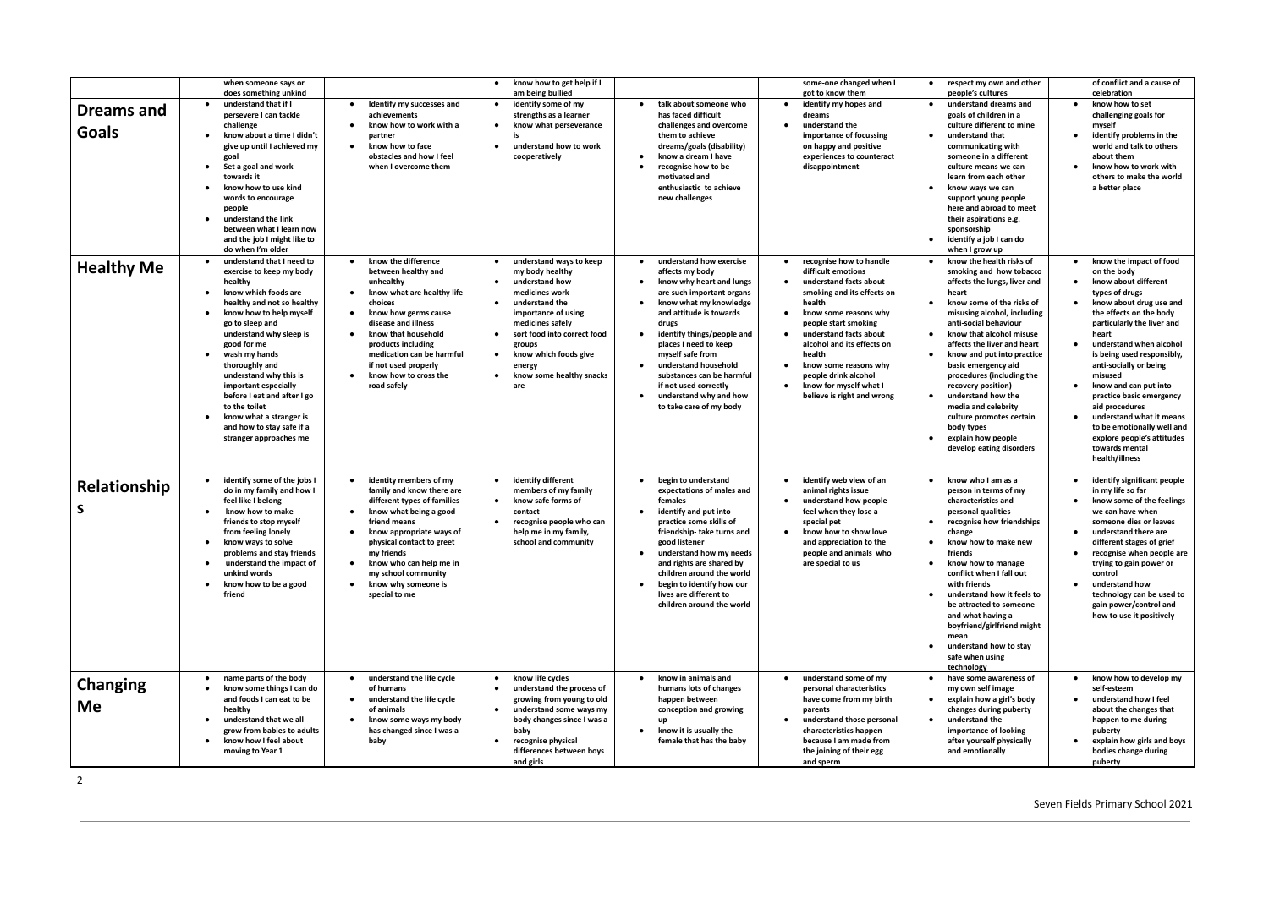|                            | when someone says or<br>does something unkind                                                                                                                                                                                                                                                                                                                                                                                                                   |                                                                                                                                                                                                                                                                                                        | know how to get help if I<br>$\bullet$<br>am being bullied                                                                                                                                                                                                                                        |                                                                                                                                                                                                                                                                                                                                                                                              | some-one changed when I<br>got to know them                                                                                                                                                                                                                                                                                                 | respect my own and other<br>$\bullet$<br>people's cultures                                                                                                                                                                                                                                                                                                                                                                                                                                                                           | of conflict and a cause of<br>celebration                                                                                                                                                                                                                                                                                                                                                                                                                                                   |
|----------------------------|-----------------------------------------------------------------------------------------------------------------------------------------------------------------------------------------------------------------------------------------------------------------------------------------------------------------------------------------------------------------------------------------------------------------------------------------------------------------|--------------------------------------------------------------------------------------------------------------------------------------------------------------------------------------------------------------------------------------------------------------------------------------------------------|---------------------------------------------------------------------------------------------------------------------------------------------------------------------------------------------------------------------------------------------------------------------------------------------------|----------------------------------------------------------------------------------------------------------------------------------------------------------------------------------------------------------------------------------------------------------------------------------------------------------------------------------------------------------------------------------------------|---------------------------------------------------------------------------------------------------------------------------------------------------------------------------------------------------------------------------------------------------------------------------------------------------------------------------------------------|--------------------------------------------------------------------------------------------------------------------------------------------------------------------------------------------------------------------------------------------------------------------------------------------------------------------------------------------------------------------------------------------------------------------------------------------------------------------------------------------------------------------------------------|---------------------------------------------------------------------------------------------------------------------------------------------------------------------------------------------------------------------------------------------------------------------------------------------------------------------------------------------------------------------------------------------------------------------------------------------------------------------------------------------|
| <b>Dreams and</b><br>Goals | understand that if I<br>persevere I can tackle<br>challenge<br>know about a time I didn't<br>give up until I achieved my<br>goal<br>Set a goal and work<br>$\bullet$<br>towards it<br>know how to use kind<br>words to encourage<br>people<br>understand the link<br>$\bullet$<br>between what I learn now<br>and the job I might like to<br>do when I'm older                                                                                                  | Identify my successes and<br>achievements<br>know how to work with a<br>partner<br>know how to face<br>obstacles and how I feel<br>when I overcome them                                                                                                                                                | identify some of my<br>$\bullet$<br>strengths as a learner<br>know what perseverance<br>understand how to work<br>$\bullet$<br>cooperatively                                                                                                                                                      | talk about someone who<br>has faced difficult<br>challenges and overcome<br>them to achieve<br>dreams/goals (disability)<br>know a dream I have<br>recognise how to be<br>motivated and<br>enthusiastic to achieve<br>new challenges                                                                                                                                                         | identify my hopes and<br>dreams<br>understand the<br>importance of focussing<br>on happy and positive<br>experiences to counteract<br>disappointment                                                                                                                                                                                        | understand dreams and<br>goals of children in a<br>culture different to mine<br>understand that<br>communicating with<br>someone in a different<br>culture means we can<br>learn from each other<br>know ways we can<br>support young people<br>here and abroad to meet<br>their aspirations e.g.<br>sponsorship<br>identify a job I can do<br>$\bullet$<br>when I grow up                                                                                                                                                           | know how to set<br>challenging goals for<br>myself<br>identify problems in the<br>world and talk to others<br>about them<br>know how to work with<br>others to make the world<br>a better place                                                                                                                                                                                                                                                                                             |
| <b>Healthy Me</b>          | understand that I need to<br>exercise to keep my body<br>healthy<br>know which foods are<br>healthy and not so healthy<br>know how to help myself<br>$\bullet$<br>go to sleep and<br>understand why sleep is<br>good for me<br>wash my hands<br>$\bullet$<br>thoroughly and<br>understand why this is<br>important especially<br>before I eat and after I go<br>to the toilet<br>know what a stranger is<br>and how to stay safe if a<br>stranger approaches me | know the difference<br>between healthy and<br>unhealthy<br>know what are healthy life<br>choices<br>know how germs cause<br>$\bullet$<br>disease and illness<br>know that household<br>products including<br>medication can be harmful<br>if not used properly<br>know how to cross the<br>road safely | understand ways to keep<br>my body healthy<br>understand how<br>$\bullet$<br>medicines work<br>understand the<br>$\bullet$<br>importance of using<br>medicines safely<br>sort food into correct food<br>groups<br>know which foods give<br>$\bullet$<br>energy<br>know some healthy snacks<br>are | understand how exercise<br>affects my body<br>know why heart and lungs<br>$\bullet$<br>are such important organs<br>know what my knowledge<br>and attitude is towards<br>drugs<br>identify things/people and<br>places I need to keep<br>myself safe from<br>understand household<br>substances can be harmful<br>if not used correctly<br>understand why and how<br>to take care of my body | recognise how to handle<br>difficult emotions<br>understand facts about<br>smoking and its effects on<br>health<br>know some reasons why<br>people start smoking<br>understand facts about<br>alcohol and its effects on<br>health<br>know some reasons why<br>people drink alcohol<br>know for myself what I<br>believe is right and wrong | know the health risks of<br>smoking and how tobacco<br>affects the lungs, liver and<br>heart<br>know some of the risks of<br>$\bullet$<br>misusing alcohol, including<br>anti-social behaviour<br>know that alcohol misuse<br>affects the liver and heart<br>know and put into practice<br>$\bullet$<br>basic emergency aid<br>procedures (including the<br>recovery position)<br>understand how the<br>$\bullet$<br>media and celebrity<br>culture promotes certain<br>body types<br>explain how people<br>develop eating disorders | know the impact of food<br>on the body<br>know about different<br>$\bullet$<br>types of drugs<br>know about drug use and<br>the effects on the body<br>particularly the liver and<br>heart<br>understand when alcohol<br>is being used responsibly,<br>anti-socially or being<br>misused<br>know and can put into<br>practice basic emergency<br>aid procedures<br>understand what it means<br>to be emotionally well and<br>explore people's attitudes<br>towards mental<br>health/illness |
| Relationship<br>S          | identify some of the jobs I<br>do in my family and how I<br>feel like I belong<br>know how to make<br>$\bullet$<br>friends to stop myself<br>from feeling lonely<br>know ways to solve<br>problems and stay friends<br>understand the impact of<br>unkind words<br>know how to be a good<br>friend                                                                                                                                                              | identity members of my<br>family and know there are<br>different types of families<br>know what being a good<br>friend means<br>know appropriate ways of<br>physical contact to greet<br>my friends<br>know who can help me in<br>my school community<br>know why someone is<br>special to me          | identify different<br>$\bullet$<br>members of my family<br>know safe forms of<br>$\bullet$<br>contact<br>recognise people who can<br>help me in my family,<br>school and community                                                                                                                | begin to understand<br>expectations of males and<br>females<br>identify and put into<br>$\bullet$<br>practice some skills of<br>friendship-take turns and<br>good listener<br>understand how my needs<br>and rights are shared by<br>children around the world<br>begin to identify how our<br>lives are different to<br>children around the world                                           | identify web view of an<br>animal rights issue<br>understand how people<br>feel when they lose a<br>special pet<br>know how to show love<br>and appreciation to the<br>people and animals who<br>are special to us                                                                                                                          | know who I am as a<br>person in terms of my<br>characteristics and<br>personal qualities<br>recognise how friendships<br>$\bullet$<br>change<br>know how to make new<br>friends<br>know how to manage<br>conflict when I fall out<br>with friends<br>understand how it feels to<br>be attracted to someone<br>and what having a<br>boyfriend/girlfriend might<br>mean<br>understand how to stay<br>safe when using<br>technology                                                                                                     | identify significant people<br>in my life so far<br>know some of the feelings<br>we can have when<br>someone dies or leaves<br>understand there are<br>different stages of grief<br>recognise when people are<br>trying to gain power or<br>control<br>understand how<br>technology can be used to<br>gain power/control and<br>how to use it positively                                                                                                                                    |
| <b>Changing</b><br>Me      | name parts of the body<br>know some things I can do<br>and foods I can eat to be<br>healthy<br>understand that we all<br>grow from babies to adults<br>know how I feel about<br>moving to Year 1                                                                                                                                                                                                                                                                | understand the life cycle<br>of humans<br>understand the life cycle<br>of animals<br>know some ways my body<br>has changed since I was a<br>baby                                                                                                                                                       | know life cycles<br>٠<br>understand the process of<br>growing from young to old<br>understand some ways my<br>$\bullet$<br>body changes since I was a<br>baby<br>recognise physical<br>$\bullet$<br>differences between boys<br>and girls                                                         | know in animals and<br>humans lots of changes<br>happen between<br>conception and growing<br>up<br>know it is usually the<br>female that has the baby                                                                                                                                                                                                                                        | understand some of my<br>personal characteristics<br>have come from my birth<br>parents<br>understand those personal<br>characteristics happen<br>because I am made from<br>the joining of their egg<br>and sperm                                                                                                                           | have some awareness of<br>my own self image<br>explain how a girl's body<br>changes during puberty<br>understand the<br>importance of looking<br>after yourself physically<br>and emotionally                                                                                                                                                                                                                                                                                                                                        | know how to develop my<br>self-esteem<br>understand how I feel<br>about the changes that<br>happen to me during<br>puberty<br>explain how girls and boys<br>bodies change during<br>puberty                                                                                                                                                                                                                                                                                                 |

2

#### Seven Fields Primary School 2021